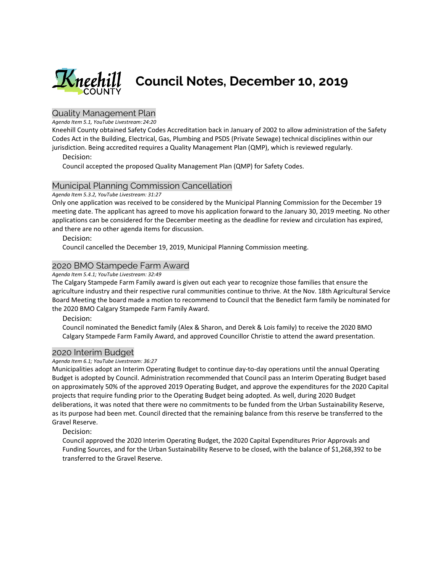

# Quality Management Plan

*Agenda Item 5.1, YouTube Livestream:24:20*

Kneehill County obtained Safety Codes Accreditation back in January of 2002 to allow administration of the Safety Codes Act in the Building, Electrical, Gas, Plumbing and PSDS (Private Sewage) technical disciplines within our jurisdiction. Being accredited requires a Quality Management Plan (QMP), which is reviewed regularly.

### Decision:

Council accepted the proposed Quality Management Plan (QMP) for Safety Codes.

### Municipal Planning Commission Cancellation

*Agenda Item 5.3.2, YouTube Livestream: 31:27*

Only one application was received to be considered by the Municipal Planning Commission for the December 19 meeting date. The applicant has agreed to move his application forward to the January 30, 2019 meeting. No other applications can be considered for the December meeting as the deadline for review and circulation has expired, and there are no other agenda items for discussion.

#### Decision:

Council cancelled the December 19, 2019, Municipal Planning Commission meeting.

## 2020 BMO Stampede Farm Award

#### *Agenda Item 5.4.1; YouTube Livestream: 32:49*

The Calgary Stampede Farm Family award is given out each year to recognize those families that ensure the agriculture industry and their respective rural communities continue to thrive. At the Nov. 18th Agricultural Service Board Meeting the board made a motion to recommend to Council that the Benedict farm family be nominated for the 2020 BMO Calgary Stampede Farm Family Award.

Decision:

Council nominated the Benedict family (Alex & Sharon, and Derek & Lois family) to receive the 2020 BMO Calgary Stampede Farm Family Award, and approved Councillor Christie to attend the award presentation.

### 2020 Interim Budget

#### *Agenda Item 6.1; YouTube Livestream: 36:27*

Municipalities adopt an Interim Operating Budget to continue day-to-day operations until the annual Operating Budget is adopted by Council. Administration recommended that Council pass an Interim Operating Budget based on approximately 50% of the approved 2019 Operating Budget, and approve the expenditures for the 2020 Capital projects that require funding prior to the Operating Budget being adopted. As well, during 2020 Budget deliberations, it was noted that there were no commitments to be funded from the Urban Sustainability Reserve, as its purpose had been met. Council directed that the remaining balance from this reserve be transferred to the Gravel Reserve.

Decision:

Council approved the 2020 Interim Operating Budget, the 2020 Capital Expenditures Prior Approvals and Funding Sources, and for the Urban Sustainability Reserve to be closed, with the balance of \$1,268,392 to be transferred to the Gravel Reserve.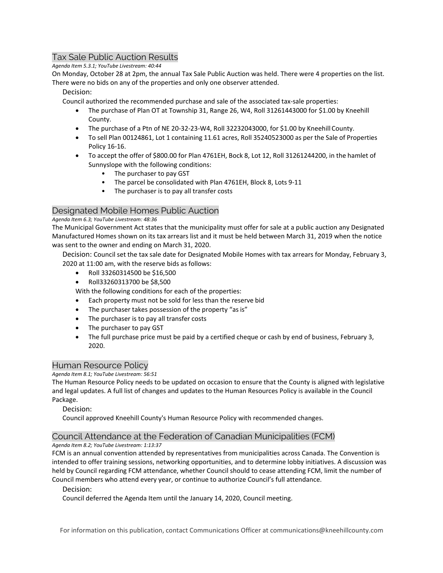# Tax Sale Public Auction Results

*Agenda Item 5.3.1; YouTube Livestream: 40:44*

On Monday, October 28 at 2pm, the annual Tax Sale Public Auction was held. There were 4 properties on the list. There were no bids on any of the properties and only one observer attended.

### Decision:

Council authorized the recommended purchase and sale of the associated tax-sale properties:

- The purchase of Plan OT at Township 31, Range 26, W4, Roll 31261443000 for \$1.00 by Kneehill County.
- The purchase of a Ptn of NE 20-32-23-W4, Roll 32232043000, for \$1.00 by Kneehill County.
- To sell Plan 00124861, Lot 1 containing 11.61 acres, Roll 35240523000 as per the Sale of Properties Policy 16-16.
- To accept the offer of \$800.00 for Plan 4761EH, Bock 8, Lot 12, Roll 31261244200, in the hamlet of Sunnyslope with the following conditions:
	- The purchaser to pay GST
	- The parcel be consolidated with Plan 4761EH, Block 8, Lots 9-11
	- The purchaser is to pay all transfer costs

# Designated Mobile Homes Public Auction

### *Agenda Item 6.3; YouTube Livestream: 48:36*

The Municipal Government Act states that the municipality must offer for sale at a public auction any Designated Manufactured Homes shown on its tax arrears list and it must be held between March 31, 2019 when the notice was sent to the owner and ending on March 31, 2020.

Decision: Council set the tax sale date for Designated Mobile Homes with tax arrears for Monday, February 3, 2020 at 11:00 am, with the reserve bids as follows:

- Roll 33260314500 be \$16,500
- Roll33260313700 be \$8,500

With the following conditions for each of the properties:

- Each property must not be sold for less than the reserve bid
- The purchaser takes possession of the property "as is"
- The purchaser is to pay all transfer costs
- The purchaser to pay GST
- The full purchase price must be paid by a certified cheque or cash by end of business, February 3, 2020.

# Human Resource Policy

*Agenda Item 8.1; YouTube Livestream: 56:51*

The Human Resource Policy needs to be updated on occasion to ensure that the County is aligned with legislative and legal updates. A full list of changes and updates to the Human Resources Policy is available in the Council Package.

## Decision:

Council approved Kneehill County's Human Resource Policy with recommended changes.

# Council Attendance at the Federation of Canadian Municipalities (FCM)

## *Agenda Item 8.2; YouTube Livestream: 1:13:37*

FCM is an annual convention attended by representatives from municipalities across Canada. The Convention is intended to offer training sessions, networking opportunities, and to determine lobby initiatives. A discussion was held by Council regarding FCM attendance, whether Council should to cease attending FCM, limit the number of Council members who attend every year, or continue to authorize Council's full attendance.

## Decision:

Council deferred the Agenda Item until the January 14, 2020, Council meeting.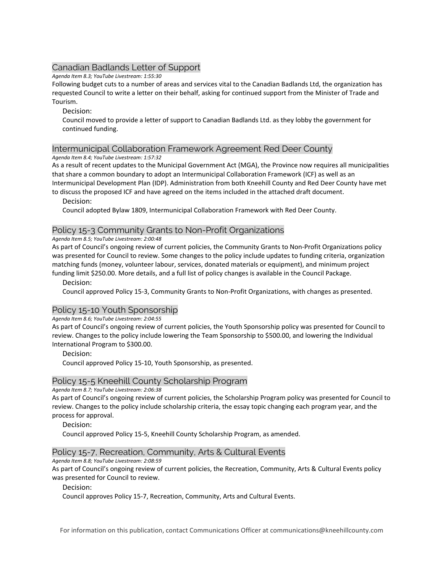# Canadian Badlands Letter of Support

*Agenda Item 8.3; YouTube Livestream: 1:55:30*

Following budget cuts to a number of areas and services vital to the Canadian Badlands Ltd, the organization has requested Council to write a letter on their behalf, asking for continued support from the Minister of Trade and Tourism.

Decision:

Council moved to provide a letter of support to Canadian Badlands Ltd. as they lobby the government for continued funding.

## Intermunicipal Collaboration Framework Agreement Red Deer County

#### *Agenda Item 8.4; YouTube Livestream: 1:57:32*

As a result of recent updates to the Municipal Government Act (MGA), the Province now requires all municipalities that share a common boundary to adopt an Intermunicipal Collaboration Framework (ICF) as well as an Intermunicipal Development Plan (IDP). Administration from both Kneehill County and Red Deer County have met to discuss the proposed ICF and have agreed on the items included in the attached draft document.

### Decision:

Council adopted Bylaw 1809, Intermunicipal Collaboration Framework with Red Deer County.

## Policy 15-3 Community Grants to Non-Profit Organizations

### *Agenda Item 8.5; YouTube Livestream: 2:00:48*

As part of Council's ongoing review of current policies, the Community Grants to Non-Profit Organizations policy was presented for Council to review. Some changes to the policy include updates to funding criteria, organization matching funds (money, volunteer labour, services, donated materials or equipment), and minimum project funding limit \$250.00. More details, and a full list of policy changes is available in the Council Package.

Decision:

Council approved Policy 15-3, Community Grants to Non-Profit Organizations, with changes as presented.

## Policy 15-10 Youth Sponsorship

*Agenda Item 8.6; YouTube Livestream: 2:04:55*

As part of Council's ongoing review of current policies, the Youth Sponsorship policy was presented for Council to review. Changes to the policy include lowering the Team Sponsorship to \$500.00, and lowering the Individual International Program to \$300.00.

Decision:

Council approved Policy 15-10, Youth Sponsorship, as presented.

## Policy 15-5 Kneehill County Scholarship Program

*Agenda Item 8.7; YouTube Livestream: 2:06:38*

As part of Council's ongoing review of current policies, the Scholarship Program policy was presented for Council to review. Changes to the policy include scholarship criteria, the essay topic changing each program year, and the process for approval.

Decision:

Council approved Policy 15-5, Kneehill County Scholarship Program, as amended.

## Policy 15-7, Recreation, Community, Arts & Cultural Events

*Agenda Item 8.8; YouTube Livestream: 2:08:59*

As part of Council's ongoing review of current policies, the Recreation, Community, Arts & Cultural Events policy was presented for Council to review.

### Decision:

Council approves Policy 15-7, Recreation, Community, Arts and Cultural Events.